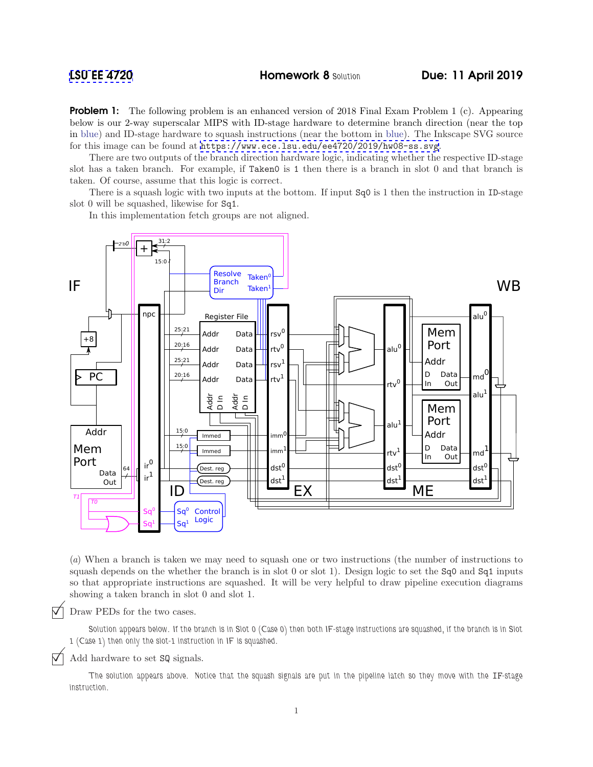**Problem 1:** The following problem is an enhanced version of 2018 Final Exam Problem 1 (c). Appearing below is our 2-way superscalar MIPS with ID-stage hardware to determine branch direction (near the top in blue) and ID-stage hardware to squash instructions (near the bottom in blue). The Inkscape SVG source for this image can be found at <https://www.ece.lsu.edu/ee4720/2019/hw08-ss.svg>.

There are two outputs of the branch direction hardware logic, indicating whether the respective ID-stage slot has a taken branch. For example, if Taken0 is 1 then there is a branch in slot 0 and that branch is taken. Of course, assume that this logic is correct.

There is a squash logic with two inputs at the bottom. If input Sq0 is 1 then the instruction in ID-stage slot 0 will be squashed, likewise for Sq1.

In this implementation fetch groups are not aligned.



(*a*) When a branch is taken we may need to squash one or two instructions (the number of instructions to squash depends on the whether the branch is in slot 0 or slot 1). Design logic to set the Sq0 and Sq1 inputs so that appropriate instructions are squashed. It will be very helpful to draw pipeline execution diagrams showing a taken branch in slot 0 and slot 1.

Draw PEDs for the two cases.

Solution appears below. If the branch is in Slot 0 (Case 0) then both IF-stage instructions are squashed, if the branch is in Slot 1 (Case 1) then only the slot-1 instruction in IF is squashed.

## Add hardware to set SQ signals.

The solution appears above. Notice that the squash signals are put in the pipeline latch so they move with the IF-stage instruction.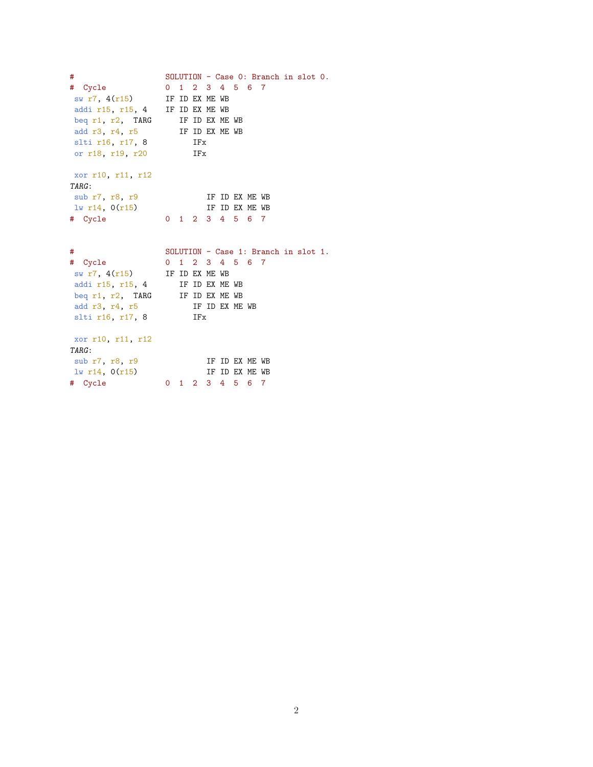```
# SOLUTION - Case 0: Branch in slot 0.
# Cycle 0 1 2 3 4 5 6 7
 sw r7, 4(r15) IF ID EX ME WB
addi r15, r15, 4 IF ID EX ME WB
 beq r1, r2, TARG IF ID EX ME WB
 add r3, r4, r5 IF ID EX ME WB
slti r16, r17, 8 IFx
or r18, r19, r20 IFx
xor r10, r11, r12
TARG:
 sub r7, r8, r9 IF ID EX ME WB
 \frac{1}{w} r14, 0(r15) IF ID EX ME WB
# Cycle 0 1 2 3 4 5 6 7
# SOLUTION - Case 1: Branch in slot 1.
# Cycle 0 1 2 3 4 5 6 7<br>sw r7, 4(r15) IF ID EX ME WB
 sw r7, 4(r15) IF ID EX ME WB
 addi r15, r15, 4 IF ID EX ME WB
 beq r1, r2, TARG IF ID EX ME WB
 add r3, r4, r5 IF ID EX ME WB
 slti r16, r17, 8 IFx
xor r10, r11, r12
TARG:
sub r7, r8, r9 1w r14, 0(r15) IF ID EX ME WB
```
 $\frac{1}{w}$  r14,  $0(r15)$  IF ID EX ME WB # Cycle 0 1 2 3 4 5 6 7